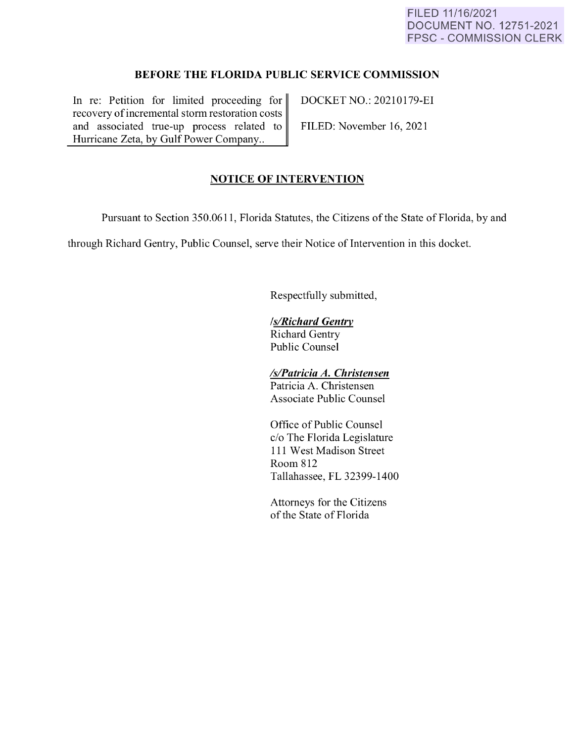### FILED 11/16/2021 DOCUMENT NO. 12751-2021 FPSC - COMMISSION CLERK

## **BEFORE THE FLORIDA PUBLIC SERVICE COMMISSION**

In re: Petition for limited proceeding for DOCKET NO.: 20210179-EI recovery of incremental storm restoration costs and associated true-up process related to FILED: November 16, 2021 Hurricane Zeta, by Gulf Power Company...

# **NOTICE OF INTERVENTION**

Pursuant to Section 350.0611 , Florida Statutes, the Citizens of the State of Florida, by and

through Richard Gentry, Public Counsel, serve their Notice of Intervention in this docket.

Respectfully submitted,

### *ls/Richard Gentry*

Richard Gentry Public Counsel

# *ls/Patricia A. Christensen*

Patricia A. Christensen Associate Public Counsel

Office of Public Counsel c/o The Florida Legislature 111 West Madison Street Room 812 Tallahassee, FL 32399-1400

Attorneys for the Citizens of the State of Florida